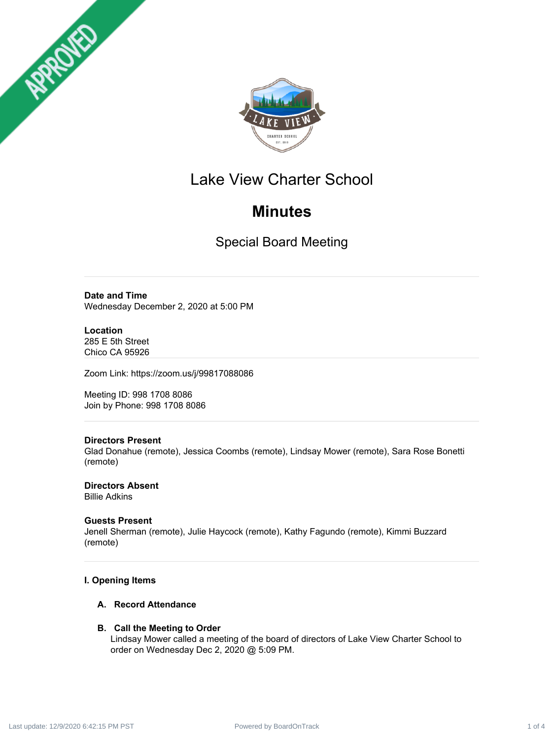



# Lake View Charter School

# **Minutes**

Special Board Meeting

# **Date and Time**

Wednesday December 2, 2020 at 5:00 PM

# **Location**

285 E 5th Street Chico CA 95926

Zoom Link: https://zoom.us/j/99817088086

Meeting ID: 998 1708 8086 Join by Phone: 998 1708 8086

# **Directors Present**

Glad Donahue (remote), Jessica Coombs (remote), Lindsay Mower (remote), Sara Rose Bonetti (remote)

**Directors Absent** Billie Adkins

# **Guests Present**

Jenell Sherman (remote), Julie Haycock (remote), Kathy Fagundo (remote), Kimmi Buzzard (remote)

# **I. Opening Items**

## **A. Record Attendance**

## **B. Call the Meeting to Order**

Lindsay Mower called a meeting of the board of directors of Lake View Charter School to order on Wednesday Dec 2, 2020 @ 5:09 PM.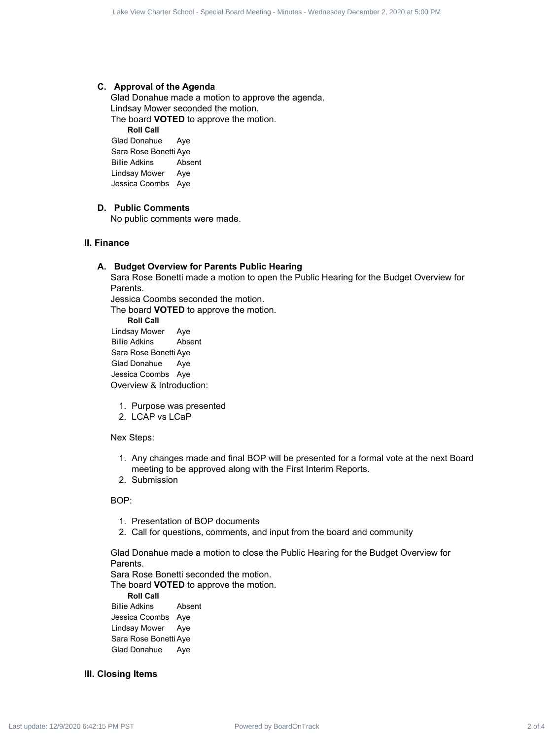#### **C. Approval of the Agenda**

Glad Donahue made a motion to approve the agenda. Lindsay Mower seconded the motion. The board **VOTED** to approve the motion. **Roll Call** Glad Donahue Aye Use State State Board Research 2 of 4 Lake Years 2 at 42 Constrained Constrained Constrained Constrained Constrained Constrained Constrained Constrained Constrained Constrained Constrained Constrained Constrained Constra

Sara Rose Bonetti Aye Billie Adkins Absent Lindsay Mower Aye Jessica Coombs Aye

## **D. Public Comments**

No public comments were made.

#### **II. Finance**

#### **A. Budget Overview for Parents Public Hearing**

Sara Rose Bonetti made a motion to open the Public Hearing for the Budget Overview for Parents.

Jessica Coombs seconded the motion.

The board **VOTED** to approve the motion.

**Roll Call**

Lindsay Mower Aye Billie Adkins Absent Sara Rose Bonetti Aye Glad Donahue Aye Jessica Coombs Aye Overview & Introduction:

- 1. Purpose was presented
- 2. LCAP vs LCaP

#### Nex Steps:

- 1. Any changes made and final BOP will be presented for a formal vote at the next Board meeting to be approved along with the First Interim Reports.
- 2. Submission

BOP:

- 1. Presentation of BOP documents
- 2. Call for questions, comments, and input from the board and community

Glad Donahue made a motion to close the Public Hearing for the Budget Overview for **Parents** 

Sara Rose Bonetti seconded the motion.

The board **VOTED** to approve the motion.

**Roll Call**

Billie Adkins Absent Jessica Coombs Aye Lindsay Mower Aye Sara Rose Bonetti Aye Glad Donahue Aye

#### **III. Closing Items**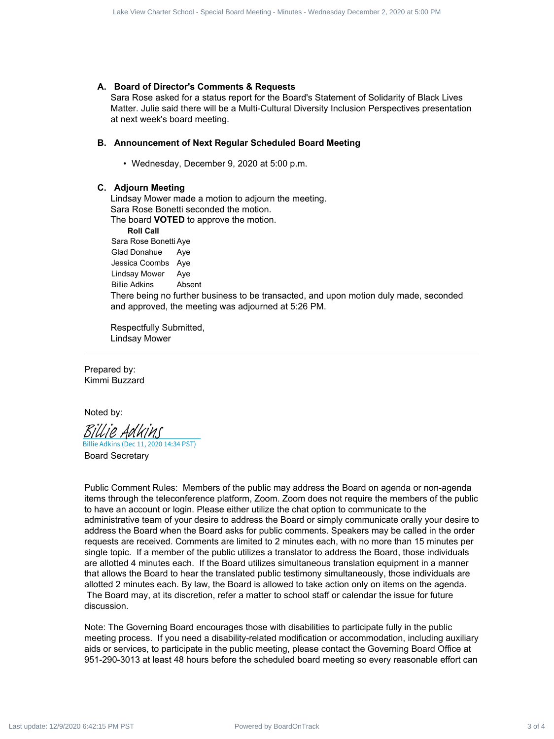#### **A. Board of Director's Comments & Requests**

Sara Rose asked for a status report for the Board's Statement of Solidarity of Black Lives Matter. Julie said there will be a Multi-Cultural Diversity Inclusion Perspectives presentation at next week's board meeting.

#### **B. Announcement of Next Regular Scheduled Board Meeting**

• Wednesday, December 9, 2020 at 5:00 p.m.

#### **C. Adjourn Meeting**

Lindsay Mower made a motion to adjourn the meeting. Sara Rose Bonetti seconded the motion.

The board **VOTED** to approve the motion.

**Roll Call** Sara Rose Bonetti Aye Glad Donahue Aye Jessica Coombs Aye Lindsay Mower Aye Billie Adkins Absent There being no further business to be transacted, and upon motion duly made, seconded and approved, the meeting was adjourned at 5:26 PM.

Respectfully Submitted, Lindsay Mower

Prepared by: Kimmi Buzzard

Noted by:

[Billie Adkins](https://na2.documents.adobe.com/verifier?tx=CBJCHBCAABAA7wtfldaiZmtlfCv8pHtp9jUDv-G1wo_g)

Board Secretary Billie Adkins (Dec 11, 2020 14:34 PST)

Public Comment Rules: Members of the public may address the Board on agenda or non-agenda items through the teleconference platform, Zoom. Zoom does not require the members of the public to have an account or login. Please either utilize the chat option to communicate to the administrative team of your desire to address the Board or simply communicate orally your desire to address the Board when the Board asks for public comments. Speakers may be called in the order requests are received. Comments are limited to 2 minutes each, with no more than 15 minutes per single topic. If a member of the public utilizes a translator to address the Board, those individuals are allotted 4 minutes each. If the Board utilizes simultaneous translation equipment in a manner that allows the Board to hear the translated public testimony simultaneously, those individuals are allotted 2 minutes each. By law, the Board is allowed to take action only on items on the agenda. The Board may, at its discretion, refer a matter to school staff or calendar the issue for future discussion. Use Section 2, 1998 14.12: 1998 14.12: 1998 14.12: 1998 14.12: 1999 14.12: 1999 14.12: 1999 14.12: 1999 14.12: 1999 14.12: 1999 14.12: 1999 14.12: 1999 14.12: 1999 14.12: 1999 14.12: 1999 14.12: 1999 14.12: 1999 14.12:

Note: The Governing Board encourages those with disabilities to participate fully in the public meeting process. If you need a disability-related modification or accommodation, including auxiliary aids or services, to participate in the public meeting, please contact the Governing Board Office at 951-290-3013 at least 48 hours before the scheduled board meeting so every reasonable effort can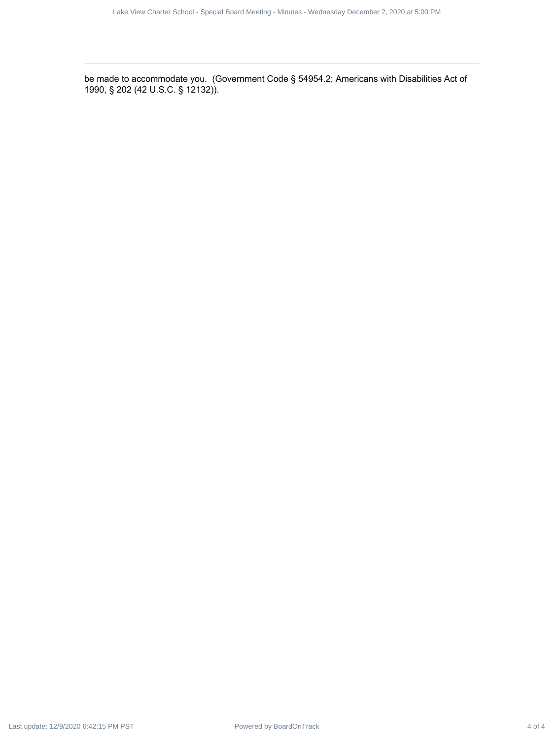be made to accommodate you. (Government Code § 54954.2; Americans with Disabilities Act of 1990, § 202 (42 U.S.C. § 12132)). Power Charter School - Special Board - Special Board - Special Board - Special Board Meeting - Minutes - Minutes - Minutes - Minutes - Minutes - Wednesday December 2, 2020 at 5:00 PM Last update: 12/9/2020 6:42:15 PM PST u